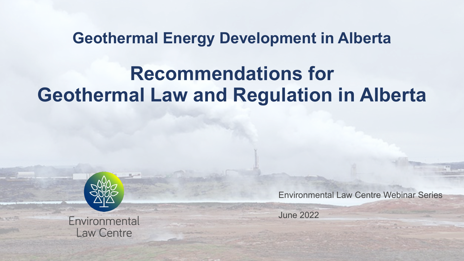## **Geothermal Energy Development in Alberta Recommendations for Geothermal Law and Regulation in Alberta**



Environmental **Law Centre** 

Environmental Law Centre Webinar Series

June 2022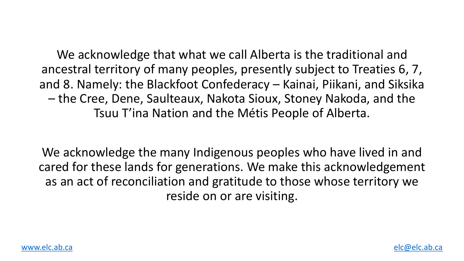We acknowledge that what we call Alberta is ancestral territory of many peoples, presently and 8. Namely: the Blackfoot Confederacy - Ka – the Cree, Dene, Saulteaux, Nakota Sioux, St Tsuu T'ina Nation and the Métis Peop

We acknowledge the many Indigenous peoples cared for these lands for generations. We make as an act of reconciliation and gratitude to those reside on or are visiting.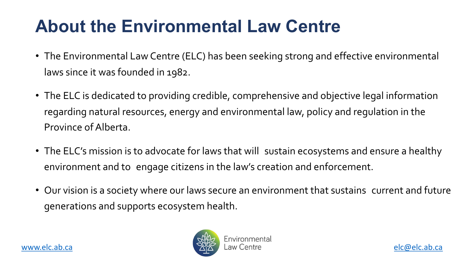#### **About the Environmental Law C**

- The Environmental Law Centre (ELC) has been seeking strong laws since it was founded in 1982.
- The ELC is dedicated to providing credible, comprehensive regarding natural resources, energy and environmental lay [Provinc](http://www.elc.ab.ca/)e of Alberta.
- The ELC's mission is to advocate for laws that will sustain environment and to engage citizens in the law's creation
- Our vision is a society where our laws secure an environme generations and supports ecosystem health.

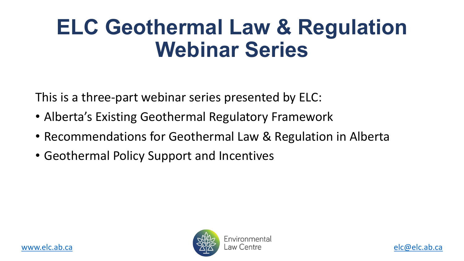## **ELC Geothermal Law & Webinar Serie**

This is a three-part webinar series presented by

- [Alber](http://www.elc.ab.ca/)ta's Existing Geothermal Regulatory Fram
- Recommendations for Geothermal Law & Reg
- Geothermal Policy Support and Incentives

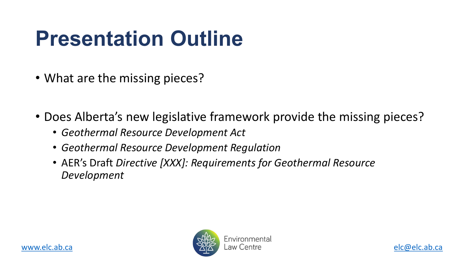## **Presentation Outline**

- What are the missing pieces?
- [Does](http://www.elc.ab.ca/) Alberta's new legislative framework prov
	- *Geothermal Resource Development Act*
	- *Geothermal Resource Development Regulation*
	- AER's Draft *Directive [XXX]: Requirements for Geot Development*

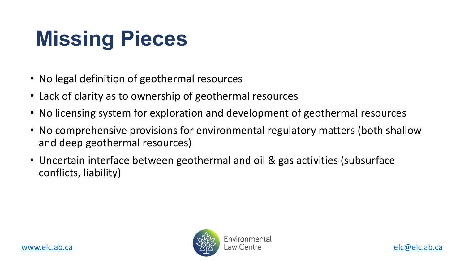## **Missing Pieces**

- No legal definition of geothermal resources
- Lack of clarity as to ownership of geothermal resources
- No licensing system for exploration and development of
- [No com](http://www.elc.ab.ca/)prehensive provisions for environmental regulation and deep geothermal resources)
- Uncertain interface between geothermal and oil & gas conflicts, liability)

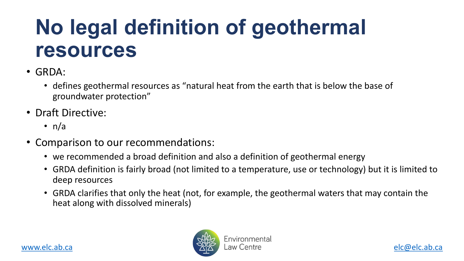### **No legal definition of geot resources**

- GRDA:
	- defines geothermal resources as "natural heat from the earth groundwater protection"
- Draft Directive:
	- $n/a$
- Comparison to our recommendations:
	- we recommended a broad definition and also a definition of g
	- GRDA definition is fairly broad (not limited to a temperature, use deep resources
	- GRDA clarifies that only the heat (not, for example, the geothe heat along with dissolved minerals)

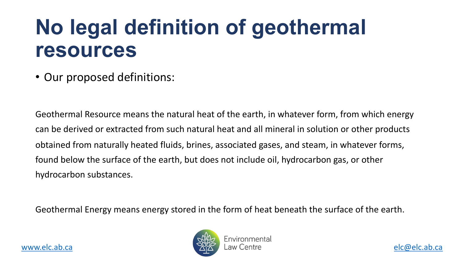#### **No legal definition of geothermal resources**

• Our proposed definitions:

Geothermal Resource means the natural heat of the earth, in what [can be de](http://www.elc.ab.ca/)rived or extracted from such natural heat and all mineral obtained from naturally heated fluids, brines, associated gases, and found below the surface of the earth, but does not include oil, hyd hydrocarbon substances.

Geothermal Energy means energy stored in the form of heat beneat

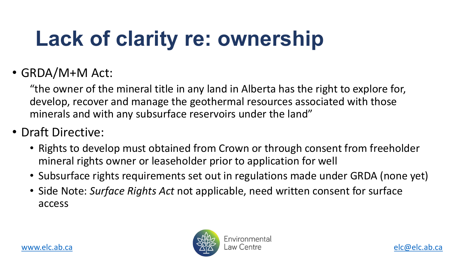## **Lack of clarity re: ownershipping**

#### • GRDA/M+M Act:

"the owner of the mineral title in any land in Alberta has develop, recover and manage the geothermal resources minerals and with any subsurface reservoirs under the la

- [Draft Dire](http://www.elc.ab.ca/)ctive:
	- Rights to develop must obtained from Crown or throug mineral rights owner or leaseholder prior to application
	- Subsurface rights requirements set out in regulations n
	- Side Note: Surface Rights Act not applicable, need written access

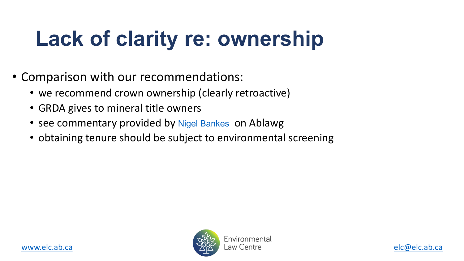## **Lack of clarity re: ownershipping**

- Comparison with our recommendations:
	- we recommend crown ownership (clearly retroactive)
	- GRDA gives to mineral title owners
	- [see com](http://www.elc.ab.ca/)mentary provided by Nigel Bankes on Ablawg
	- obtaining tenure should be subject to environmental so

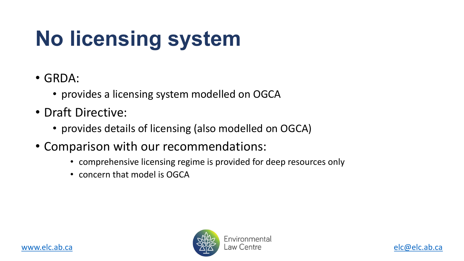## **No licensing system**

- GRDA:
	- provides a licensing system modelled on OGCA
- Draft Directive:
	- [pro](http://www.elc.ab.ca/)vides details of licensing (also modelled on OG
- Comparison with our recommendations:
	- comprehensive licensing regime is provided for deep re
	- concern that model is OGCA

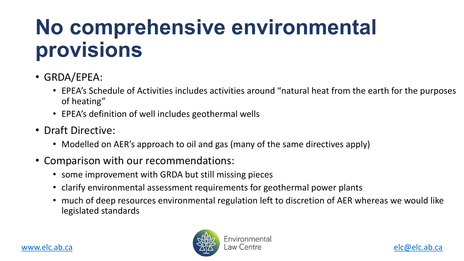## **No comprehensive enviro provisions**

- GRDA/EPEA:
	- EPEA's Schedule of Activities includes activities around "nate of heating"
	- EPEA's definition of well includes geothermal wells
- [Draft D](http://www.elc.ab.ca/)irective:
	- Modelled on AER's approach to oil and gas (many of the san
- Comparison with our recommendations:
	- some improvement with GRDA but still missing pieces
	- clarify environmental assessment requirements for geother
	- much of deep resources environmental regulation left to dis legislated standards

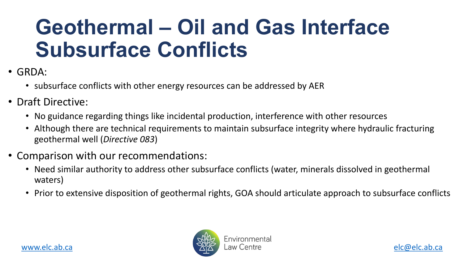## **Geothermal – Oil and Gas Subsurface Conflicts**

- GRDA:
	- subsurface conflicts with other energy resources can be addressed
- Draft Directive:
	- No guidance regarding things like incidental production, interferene
	- [Although t](http://www.elc.ab.ca/)here are technical requirements to maintain subsurface geothermal well (*Directive 083*)
- Comparison with our recommendations:
	- Need similar authority to address other subsurface conflicts (water waters)
	- Prior to extensive disposition of geothermal rights, GOA should art

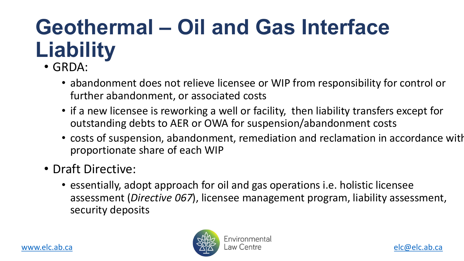## **Geothermal – Oil and Gas Liability**

- GRDA:
	- abandonment does not relieve licensee or WIP f further abandonment, or associated costs
	- if a new licensee is reworking a well or facility, the [o](http://www.elc.ab.ca/)ut[s](mailto:elc@elc.ab.ca)tanding debts to AER or OWA for suspension
	- costs of suspension, abandonment, remediation proportionate share of each WIP
- Draft Directive:
	- essentially, adopt approach for oil and gas operations. assessment (*Directive 067*), licensee manageme security deposits

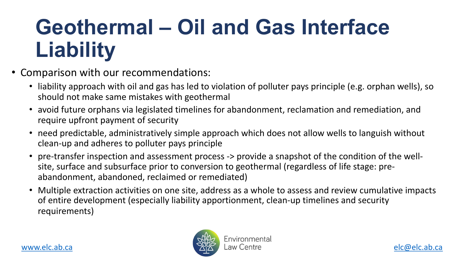## **Geothermal – Oil and Gas Liability**

- Comparison with our recommendations:
	- liability approach with oil and gas has led to violation of polluter p should not make same mistakes with geothermal
	- avoid future orphans via legislated timelines for abandonment, re [require u](http://www.elc.ab.ca/)pfront payment of security
	- need predictable, administratively simple approach which does no clean-up and adheres to polluter pays principle
	- pre-transfer inspection and assessment process -> provide a snaps site, surface and subsurface prior to conversion to geothermal (regardless abandonment, abandoned, reclaimed or remediated)
	- Multiple extraction activities on one site, address as a whole to as of entire development (especially liability apportionment, clean-u requirements)

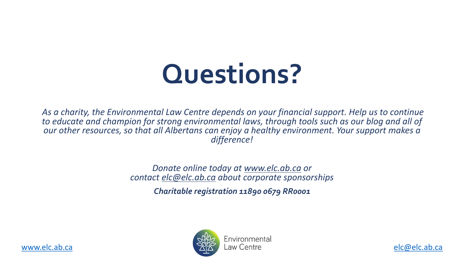# **Questions?**

As a charity, the Environmental Law Centre depends on your finan *[to educa](http://www.elc.ab.ca/)te and champion for strong environmental laws, through tools such as our blog a[nd all of](mailto:elc@elc.ab.ca)*  our other resources, so that all Albertans can enjoy a healthy env *difference!*

> **Donate online today at www.elc.ab.ca**  $contact$  *elc@elc.ab.ca about corporate sponsorshipsim*

> > *Charitable registration 11890 0679 RRd*